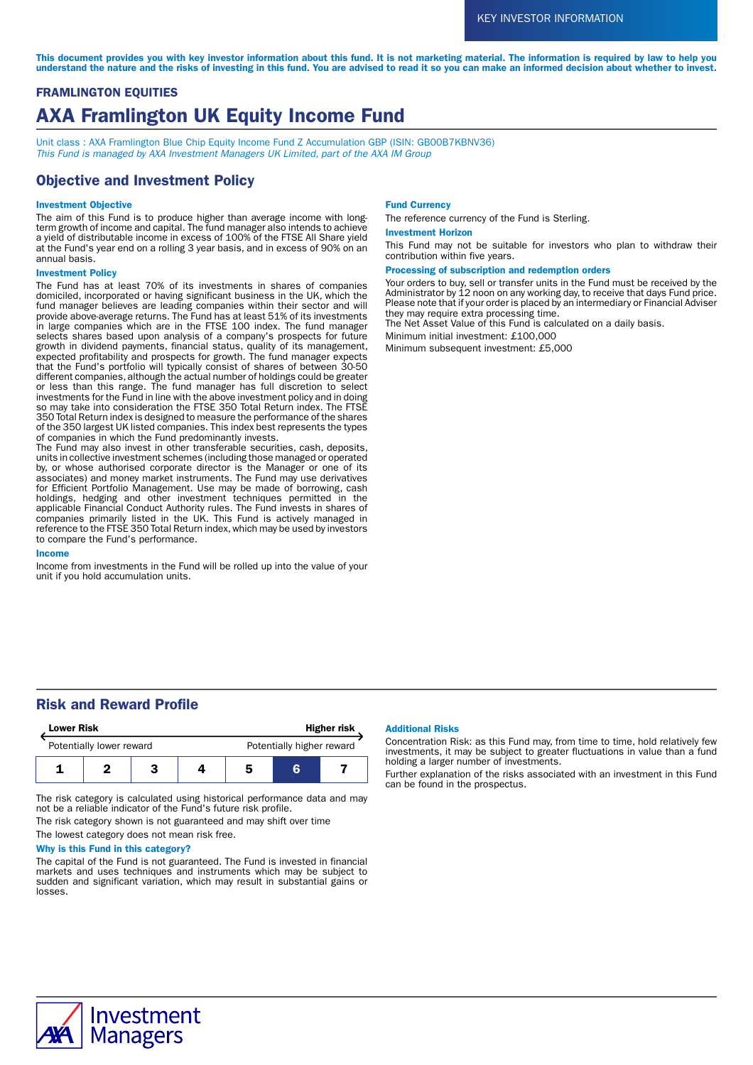This document provides you with key investor information about this fund. It is not marketing material. The information is required by law to help you understand the nature and the risks of investing in this fund. You are advised to read it so you can make an informed decision about whether to invest.

# FRAMLINGTON EQUITIES AXA Framlington UK Equity Income Fund

Unit class : AXA Framlington Blue Chip Equity Income Fund Z Accumulation GBP (ISIN: GB00B7KBNV36) This Fund is managed by AXA Investment Managers UK Limited, part of the AXA IM Group

## Objective and Investment Policy

## Investment Objective

The aim of this Fund is to produce higher than average income with longterm growth of income and capital. The fund manager also intends to achieve a yield of distributable income in excess of 100% of the FTSE All Share yield at the Fund's year end on a rolling 3 year basis, and in excess of 90% on an annual basis.

## Investment Policy

The Fund has at least 70% of its investments in shares of companies domiciled, incorporated or having significant business in the UK, which the fund manager believes are leading companies within their sector and will provide above-average returns. The Fund has at least 51% of its investments in large companies which are in the FTSE 100 index. The fund manager selects shares based upon analysis of a company's prospects for future growth in dividend payments, financial status, quality of its management, expected profitability and prospects for growth. The fund manager expects that the Fund's portfolio will typically consist of shares of between 30-50 different companies, although the actual number of holdings could be greater or less than this range. The fund manager has full discretion to select investments for the Fund in line with the above investment policy and in doing so may take into consideration the FTSE 350 Total Return index. The FTSE 350 Total Return index is designed to measure the performance of the shares of the 350 largest UK listed companies. This index best represents the types of companies in which the Fund predominantly invests.

The Fund may also invest in other transferable securities, cash, deposits, units in collective investment schemes (including those managed or operated by, or whose authorised corporate director is the Manager or one of its associates) and money market instruments. The Fund may use derivatives for Efficient Portfolio Management. Use may be made of borrowing, cash holdings, hedging and other investment techniques permitted in the applicable Financial Conduct Authority rules. The Fund invests in shares of companies primarily listed in the UK. This Fund is actively managed in reference to the FTSE 350 Total Return index, which may be used by investors to compare the Fund's performance.

#### Income

Income from investments in the Fund will be rolled up into the value of your unit if you hold accumulation units.

#### Fund Currency

The reference currency of the Fund is Sterling.

#### Investment Horizon

This Fund may not be suitable for investors who plan to withdraw their contribution within five years.

## Processing of subscription and redemption orders

Your orders to buy, sell or transfer units in the Fund must be received by the Administrator by 12 noon on any working day, to receive that days Fund price. Please note that if your order is placed by an intermediary or Financial Adviser they may require extra processing time.

The Net Asset Value of this Fund is calculated on a daily basis.

Minimum initial investment: £100,000

Minimum subsequent investment: £5,000

## Risk and Reward Profile

| <b>Lower Risk</b>        |  |  | <b>Higher risk</b> |                           |   |  |
|--------------------------|--|--|--------------------|---------------------------|---|--|
| Potentially lower reward |  |  |                    | Potentially higher reward |   |  |
|                          |  |  |                    |                           | ĸ |  |

The risk category is calculated using historical performance data and may not be a reliable indicator of the Fund's future risk profile.

The risk category shown is not guaranteed and may shift over time

The lowest category does not mean risk free.

## Why is this Fund in this category?

The capital of the Fund is not guaranteed. The Fund is invested in financial markets and uses techniques and instruments which may be subject to sudden and significant variation, which may result in substantial gains or losses.

## Additional Risks

Concentration Risk: as this Fund may, from time to time, hold relatively few investments, it may be subject to greater fluctuations in value than a fund holding a larger number of investments.

Further explanation of the risks associated with an investment in this Fund can be found in the prospectus.